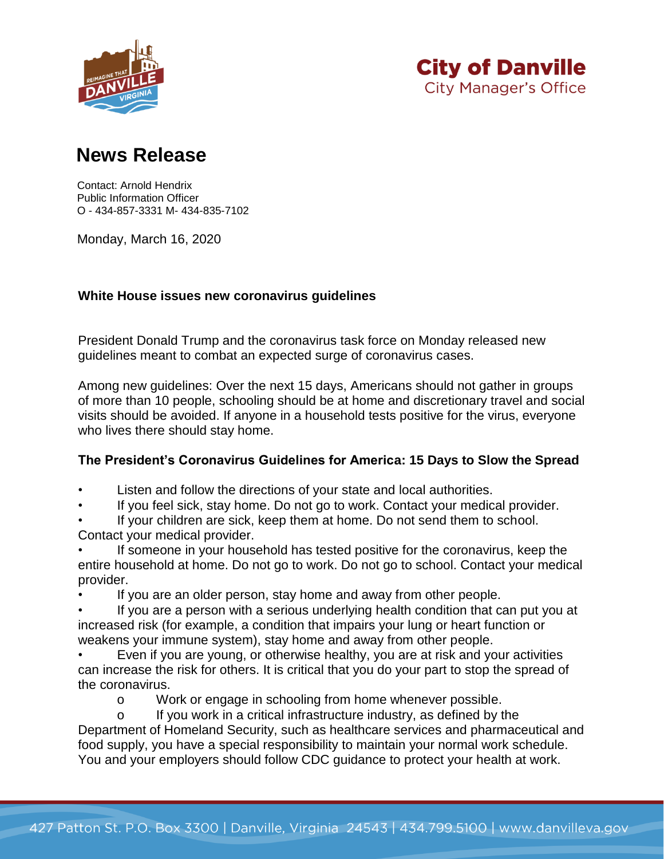



## **News Release**

Contact: Arnold Hendrix Public Information Officer O - 434-857-3331 M- 434-835-7102

Monday, March 16, 2020

## **White House issues new coronavirus guidelines**

President Donald Trump and the coronavirus task force on Monday released new guidelines meant to combat an expected surge of coronavirus cases.

Among new guidelines: Over the next 15 days, Americans should not gather in groups of more than 10 people, schooling should be at home and discretionary travel and social visits should be avoided. If anyone in a household tests positive for the virus, everyone who lives there should stay home.

## **The President's Coronavirus Guidelines for America: 15 Days to Slow the Spread**

- Listen and follow the directions of your state and local authorities.
- If you feel sick, stay home. Do not go to work. Contact your medical provider.
- If your children are sick, keep them at home. Do not send them to school.
- Contact your medical provider.
- If someone in your household has tested positive for the coronavirus, keep the entire household at home. Do not go to work. Do not go to school. Contact your medical provider.
- If you are an older person, stay home and away from other people.
- If you are a person with a serious underlying health condition that can put you at increased risk (for example, a condition that impairs your lung or heart function or weakens your immune system), stay home and away from other people.
- Even if you are young, or otherwise healthy, you are at risk and your activities can increase the risk for others. It is critical that you do your part to stop the spread of the coronavirus.
	- o Work or engage in schooling from home whenever possible.
- o If you work in a critical infrastructure industry, as defined by the Department of Homeland Security, such as healthcare services and pharmaceutical and food supply, you have a special responsibility to maintain your normal work schedule. You and your employers should follow CDC guidance to protect your health at work.